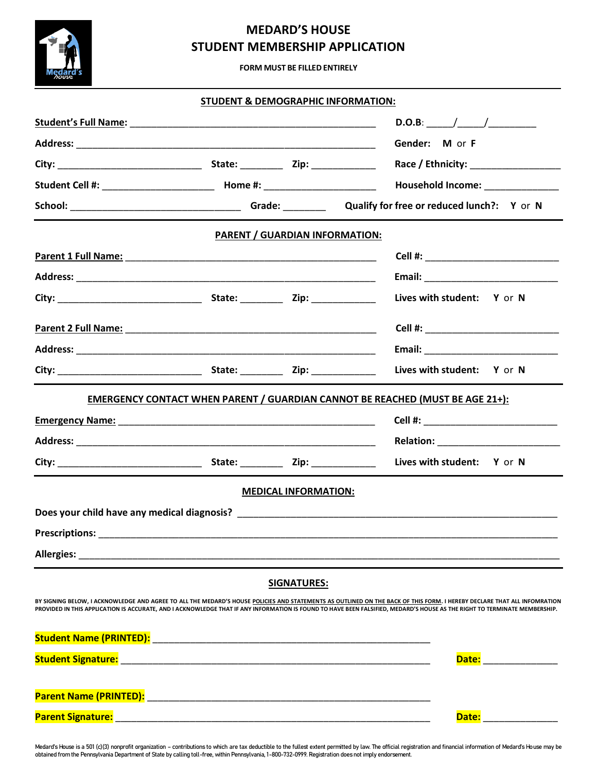# **MEDARD'S HOUSE STUDENT MEMBERSHIP APPLICATION**

**FORM MUST BE FILLED ENTIRELY**

| STUDENT & DEMOGRAPHIC INFORMATION:                                                                                                     |  |  |                                                                                                                                                                                                                                                                                                                                                      |
|----------------------------------------------------------------------------------------------------------------------------------------|--|--|------------------------------------------------------------------------------------------------------------------------------------------------------------------------------------------------------------------------------------------------------------------------------------------------------------------------------------------------------|
|                                                                                                                                        |  |  |                                                                                                                                                                                                                                                                                                                                                      |
|                                                                                                                                        |  |  | Gender: M or F                                                                                                                                                                                                                                                                                                                                       |
|                                                                                                                                        |  |  |                                                                                                                                                                                                                                                                                                                                                      |
|                                                                                                                                        |  |  |                                                                                                                                                                                                                                                                                                                                                      |
|                                                                                                                                        |  |  |                                                                                                                                                                                                                                                                                                                                                      |
| <b>PARENT / GUARDIAN INFORMATION:</b>                                                                                                  |  |  |                                                                                                                                                                                                                                                                                                                                                      |
|                                                                                                                                        |  |  |                                                                                                                                                                                                                                                                                                                                                      |
|                                                                                                                                        |  |  |                                                                                                                                                                                                                                                                                                                                                      |
|                                                                                                                                        |  |  | Lives with student: Y or N                                                                                                                                                                                                                                                                                                                           |
|                                                                                                                                        |  |  |                                                                                                                                                                                                                                                                                                                                                      |
|                                                                                                                                        |  |  |                                                                                                                                                                                                                                                                                                                                                      |
|                                                                                                                                        |  |  | Lives with student: Y or N                                                                                                                                                                                                                                                                                                                           |
| <b>EMERGENCY CONTACT WHEN PARENT / GUARDIAN CANNOT BE REACHED (MUST BE AGE 21+):</b>                                                   |  |  |                                                                                                                                                                                                                                                                                                                                                      |
|                                                                                                                                        |  |  |                                                                                                                                                                                                                                                                                                                                                      |
|                                                                                                                                        |  |  |                                                                                                                                                                                                                                                                                                                                                      |
|                                                                                                                                        |  |  | Lives with student: Y or N                                                                                                                                                                                                                                                                                                                           |
| <b>MEDICAL INFORMATION:</b>                                                                                                            |  |  |                                                                                                                                                                                                                                                                                                                                                      |
|                                                                                                                                        |  |  |                                                                                                                                                                                                                                                                                                                                                      |
| Prescriptions:<br><u> 1980 - Johann Barn, mars and de film and de film and de film and de film and de film and de film and de film</u> |  |  |                                                                                                                                                                                                                                                                                                                                                      |
|                                                                                                                                        |  |  |                                                                                                                                                                                                                                                                                                                                                      |
| <b>SIGNATURES:</b>                                                                                                                     |  |  |                                                                                                                                                                                                                                                                                                                                                      |
|                                                                                                                                        |  |  | BY SIGNING BELOW, I ACKNOWLEDGE AND AGREE TO ALL THE MEDARD'S HOUSE POLICIES AND STATEMENTS AS OUTLINED ON THE BACK OF THIS FORM. I HEREBY DECLARE THAT ALL INFOMRATION<br>PROVIDED IN THIS APPLICATION IS ACCURATE, AND I ACKNOWLEDGE THAT IF ANY INFORMATION IS FOUND TO HAVE BEEN FALSIFIED, MEDARD'S HOUSE AS THE RIGHT TO TERMINATE MEMBERSHIP. |
|                                                                                                                                        |  |  |                                                                                                                                                                                                                                                                                                                                                      |
|                                                                                                                                        |  |  | Date: _______________                                                                                                                                                                                                                                                                                                                                |
|                                                                                                                                        |  |  |                                                                                                                                                                                                                                                                                                                                                      |
|                                                                                                                                        |  |  | Date: __________                                                                                                                                                                                                                                                                                                                                     |

Medard's House is a 501 (c)(3) nonprofit organization – contributions to which are tax deductible to the fullest extent permitted by law. The official registration and financial information of Medard's House may be<br>obtaine